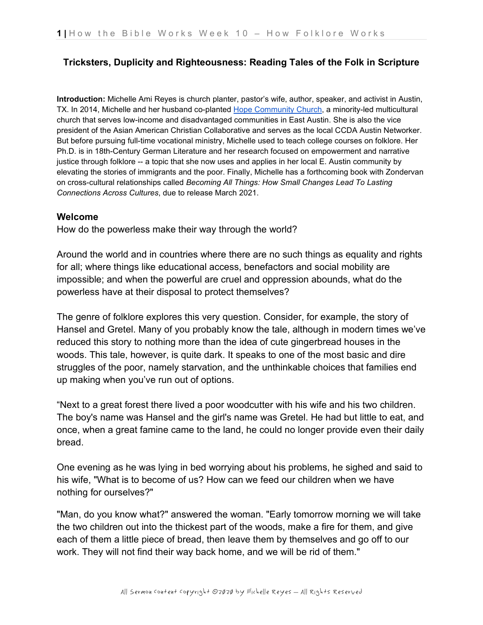## **Tricksters, Duplicity and Righteousness: Reading Tales of the Folk in Scripture**

**Introduction:** Michelle Ami Reyes is church planter, pastor's wife, author, speaker, and activist in Austin, TX. In 2014, Michelle and her husband co-plante[d](https://hopeccatx.com/) [Hope Community Church,](https://hopeccatx.com/) a minority-led multicultural church that serves low-income and disadvantaged communities in East Austin. She is also the vice president of the Asian American Christian Collaborative and serves as the local CCDA Austin Networker. But before pursuing full-time vocational ministry, Michelle used to teach college courses on folklore. Her Ph.D. is in 18th-Century German Literature and her research focused on empowerment and narrative justice through folklore -- a topic that she now uses and applies in her local E. Austin community by elevating the stories of immigrants and the poor. Finally, Michelle has a forthcoming book with Zondervan on cross-cultural relationships called *Becoming All Things: How Small Changes Lead To Lasting Connections Across Cultures*, due to release March 2021.

#### **Welcome**

How do the powerless make their way through the world?

Around the world and in countries where there are no such things as equality and rights for all; where things like educational access, benefactors and social mobility are impossible; and when the powerful are cruel and oppression abounds, what do the powerless have at their disposal to protect themselves?

The genre of folklore explores this very question. Consider, for example, the story of Hansel and Gretel. Many of you probably know the tale, although in modern times we've reduced this story to nothing more than the idea of cute gingerbread houses in the woods. This tale, however, is quite dark. It speaks to one of the most basic and dire struggles of the poor, namely starvation, and the unthinkable choices that families end up making when you've run out of options.

"Next to a great forest there lived a poor woodcutter with his wife and his two children. The boy's name was Hansel and the girl's name was Gretel. He had but little to eat, and once, when a great famine came to the land, he could no longer provide even their daily bread.

One evening as he was lying in bed worrying about his problems, he sighed and said to his wife, "What is to become of us? How can we feed our children when we have nothing for ourselves?"

"Man, do you know what?" answered the woman. "Early tomorrow morning we will take the two children out into the thickest part of the woods, make a fire for them, and give each of them a little piece of bread, then leave them by themselves and go off to our work. They will not find their way back home, and we will be rid of them."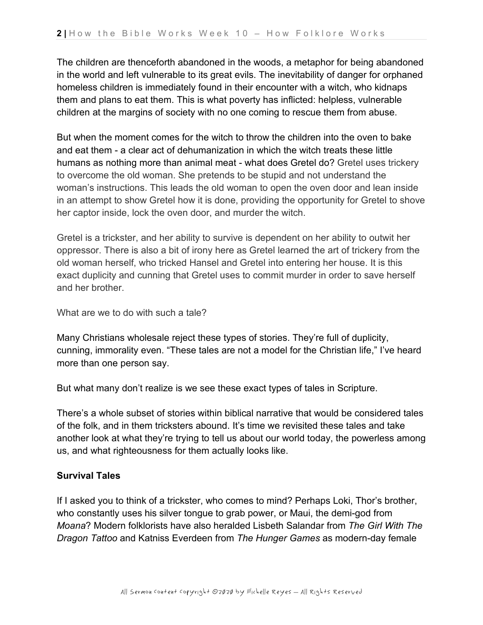The children are thenceforth abandoned in the woods, a metaphor for being abandoned in the world and left vulnerable to its great evils. The inevitability of danger for orphaned homeless children is immediately found in their encounter with a witch, who kidnaps them and plans to eat them. This is what poverty has inflicted: helpless, vulnerable children at the margins of society with no one coming to rescue them from abuse.

But when the moment comes for the witch to throw the children into the oven to bake and eat them - a clear act of dehumanization in which the witch treats these little humans as nothing more than animal meat - what does Gretel do? Gretel uses trickery to overcome the old woman. She pretends to be stupid and not understand the woman's instructions. This leads the old woman to open the oven door and lean inside in an attempt to show Gretel how it is done, providing the opportunity for Gretel to shove her captor inside, lock the oven door, and murder the witch.

Gretel is a trickster, and her ability to survive is dependent on her ability to outwit her oppressor. There is also a bit of irony here as Gretel learned the art of trickery from the old woman herself, who tricked Hansel and Gretel into entering her house. It is this exact duplicity and cunning that Gretel uses to commit murder in order to save herself and her brother.

What are we to do with such a tale?

Many Christians wholesale reject these types of stories. They're full of duplicity, cunning, immorality even. "These tales are not a model for the Christian life," I've heard more than one person say.

But what many don't realize is we see these exact types of tales in Scripture.

There's a whole subset of stories within biblical narrative that would be considered tales of the folk, and in them tricksters abound. It's time we revisited these tales and take another look at what they're trying to tell us about our world today, the powerless among us, and what righteousness for them actually looks like.

## **Survival Tales**

If I asked you to think of a trickster, who comes to mind? Perhaps Loki, Thor's brother, who constantly uses his silver tongue to grab power, or Maui, the demi-god from *Moana*? Modern folklorists have also heralded Lisbeth Salandar from *The Girl With The Dragon Tattoo* and Katniss Everdeen from *The Hunger Games* as modern-day female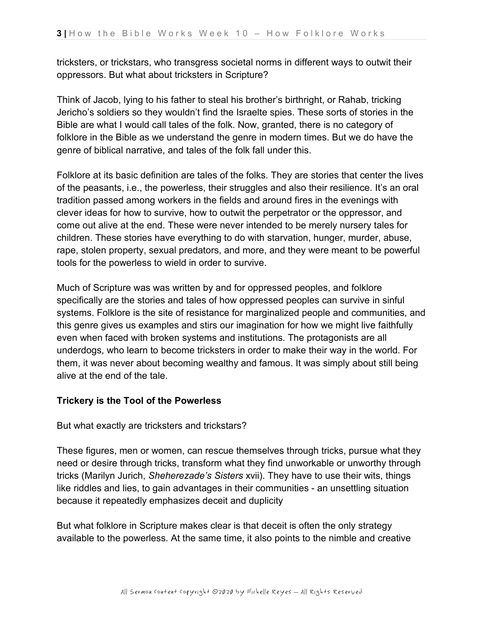tricksters, or trickstars, who transgress societal norms in different ways to outwit their oppressors. But what about tricksters in Scripture?

Think of Jacob, lying to his father to steal his brother's birthright, or Rahab, tricking Jericho's soldiers so they wouldn't find the Israelte spies. These sorts of stories in the Bible are what I would call tales of the folk. Now, granted, there is no category of folklore in the Bible as we understand the genre in modern times. But we do have the genre of biblical narrative, and tales of the folk fall under this.

Folklore at its basic definition are tales of the folks. They are stories that center the lives of the peasants, i.e., the powerless, their struggles and also their resilience. It's an oral tradition passed among workers in the fields and around fires in the evenings with clever ideas for how to survive, how to outwit the perpetrator or the oppressor, and come out alive at the end. These were never intended to be merely nursery tales for children. These stories have everything to do with starvation, hunger, murder, abuse, rape, stolen property, sexual predators, and more, and they were meant to be powerful tools for the powerless to wield in order to survive.

Much of Scripture was was written by and for oppressed peoples, and folklore specifically are the stories and tales of how oppressed peoples can survive in sinful systems. Folklore is the site of resistance for marginalized people and communities, and this genre gives us examples and stirs our imagination for how we might live faithfully even when faced with broken systems and institutions. The protagonists are all underdogs, who learn to become tricksters in order to make their way in the world. For them, it was never about becoming wealthy and famous. It was simply about still being alive at the end of the tale.

## **Trickery is the Tool of the Powerless**

But what exactly are tricksters and trickstars?

These figures, men or women, can rescue themselves through tricks, pursue what they need or desire through tricks, transform what they find unworkable or unworthy through tricks (Marilyn Jurich, *Sheherezade's Sisters* xvii). They have to use their wits, things like riddles and lies, to gain advantages in their communities - an unsettling situation because it repeatedly emphasizes deceit and duplicity

But what folklore in Scripture makes clear is that deceit is often the only strategy available to the powerless. At the same time, it also points to the nimble and creative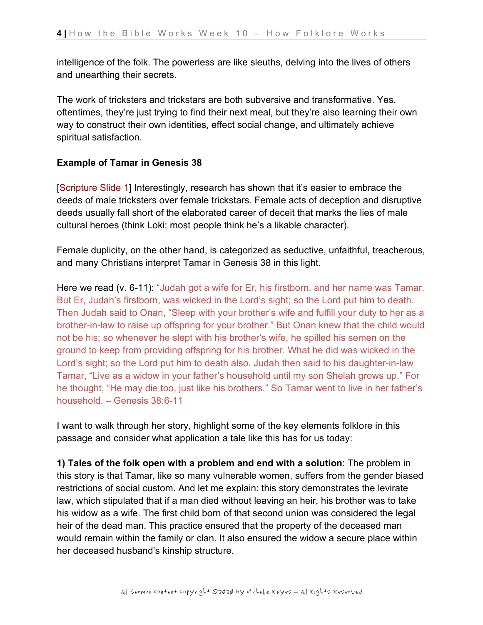intelligence of the folk. The powerless are like sleuths, delving into the lives of others and unearthing their secrets.

The work of tricksters and trickstars are both subversive and transformative. Yes, oftentimes, they're just trying to find their next meal, but they're also learning their own way to construct their own identities, effect social change, and ultimately achieve spiritual satisfaction.

# **Example of Tamar in Genesis 38**

[Scripture Slide 1] Interestingly, research has shown that it's easier to embrace the deeds of male tricksters over female trickstars. Female acts of deception and disruptive deeds usually fall short of the elaborated career of deceit that marks the lies of male cultural heroes (think Loki: most people think he's a likable character).

Female duplicity, on the other hand, is categorized as seductive, unfaithful, treacherous, and many Christians interpret Tamar in Genesis 38 in this light.

Here we read (v. 6-11): "Judah got a wife for Er, his firstborn, and her name was Tamar. But Er, Judah's firstborn, was wicked in the Lord's sight; so the Lord put him to death. Then Judah said to Onan, "Sleep with your brother's wife and fulfill your duty to her as a brother-in-law to raise up offspring for your brother." But Onan knew that the child would not be his; so whenever he slept with his brother's wife, he spilled his semen on the ground to keep from providing offspring for his brother. What he did was wicked in the Lord's sight; so the Lord put him to death also. Judah then said to his daughter-in-law Tamar, "Live as a widow in your father's household until my son Shelah grows up." For he thought, "He may die too, just like his brothers." So Tamar went to live in her father's household. – Genesis 38:6-11

I want to walk through her story, highlight some of the key elements folklore in this passage and consider what application a tale like this has for us today:

**1) Tales of the folk open with a problem and end with a solution**: The problem in this story is that Tamar, like so many vulnerable women, suffers from the gender biased restrictions of social custom. And let me explain: this story demonstrates the levirate law, which stipulated that if a man died without leaving an heir, his brother was to take his widow as a wife. The first child born of that second union was considered the legal heir of the dead man. This practice ensured that the property of the deceased man would remain within the family or clan. It also ensured the widow a secure place within her deceased husband's kinship structure.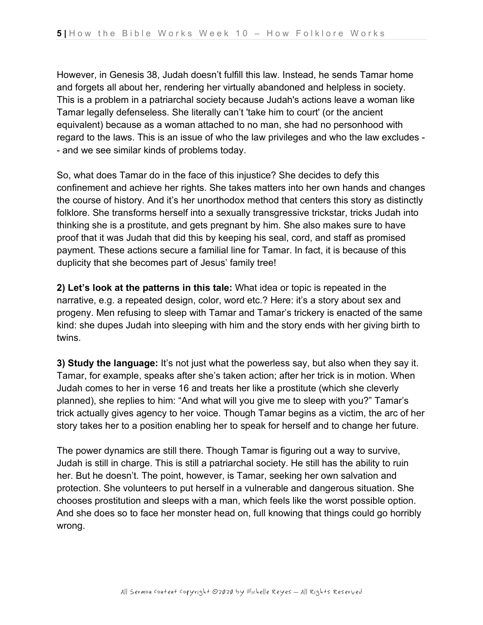However, in Genesis 38, Judah doesn't fulfill this law. Instead, he sends Tamar home and forgets all about her, rendering her virtually abandoned and helpless in society. This is a problem in a patriarchal society because Judah's actions leave a woman like Tamar legally defenseless. She literally can't 'take him to court' (or the ancient equivalent) because as a woman attached to no man, she had no personhood with regard to the laws. This is an issue of who the law privileges and who the law excludes - - and we see similar kinds of problems today.

So, what does Tamar do in the face of this injustice? She decides to defy this confinement and achieve her rights. She takes matters into her own hands and changes the course of history. And it's her unorthodox method that centers this story as distinctly folklore. She transforms herself into a sexually transgressive trickstar, tricks Judah into thinking she is a prostitute, and gets pregnant by him. She also makes sure to have proof that it was Judah that did this by keeping his seal, cord, and staff as promised payment. These actions secure a familial line for Tamar. In fact, it is because of this duplicity that she becomes part of Jesus' family tree!

**2) Let's look at the patterns in this tale:** What idea or topic is repeated in the narrative, e.g. a repeated design, color, word etc.? Here: it's a story about sex and progeny. Men refusing to sleep with Tamar and Tamar's trickery is enacted of the same kind: she dupes Judah into sleeping with him and the story ends with her giving birth to twins.

**3) Study the language:** It's not just what the powerless say, but also when they say it. Tamar, for example, speaks after she's taken action; after her trick is in motion. When Judah comes to her in verse 16 and treats her like a prostitute (which she cleverly planned), she replies to him: "And what will you give me to sleep with you?" Tamar's trick actually gives agency to her voice. Though Tamar begins as a victim, the arc of her story takes her to a position enabling her to speak for herself and to change her future.

The power dynamics are still there. Though Tamar is figuring out a way to survive, Judah is still in charge. This is still a patriarchal society. He still has the ability to ruin her. But he doesn't. The point, however, is Tamar, seeking her own salvation and protection. She volunteers to put herself in a vulnerable and dangerous situation. She chooses prostitution and sleeps with a man, which feels like the worst possible option. And she does so to face her monster head on, full knowing that things could go horribly wrong.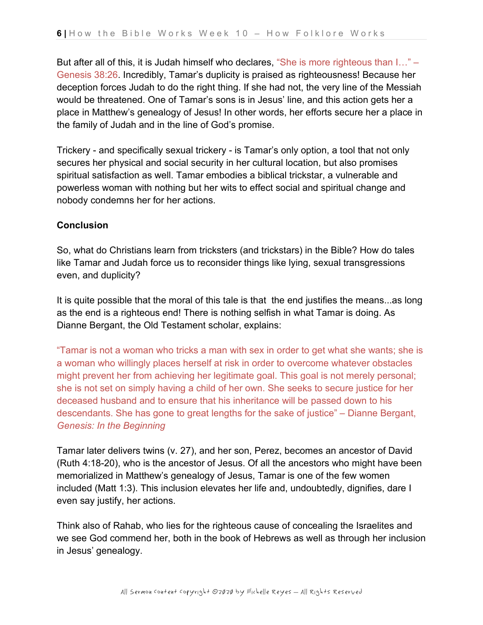But after all of this, it is Judah himself who declares, "She is more righteous than I..." – Genesis 38:26. Incredibly, Tamar's duplicity is praised as righteousness! Because her deception forces Judah to do the right thing. If she had not, the very line of the Messiah would be threatened. One of Tamar's sons is in Jesus' line, and this action gets her a place in Matthew's genealogy of Jesus! In other words, her efforts secure her a place in the family of Judah and in the line of God's promise.

Trickery - and specifically sexual trickery - is Tamar's only option, a tool that not only secures her physical and social security in her cultural location, but also promises spiritual satisfaction as well. Tamar embodies a biblical trickstar, a vulnerable and powerless woman with nothing but her wits to effect social and spiritual change and nobody condemns her for her actions.

### **Conclusion**

So, what do Christians learn from tricksters (and trickstars) in the Bible? How do tales like Tamar and Judah force us to reconsider things like lying, sexual transgressions even, and duplicity?

It is quite possible that the moral of this tale is that the end justifies the means...as long as the end is a righteous end! There is nothing selfish in what Tamar is doing. As Dianne Bergant, the Old Testament scholar, explains:

"Tamar is not a woman who tricks a man with sex in order to get what she wants; she is a woman who willingly places herself at risk in order to overcome whatever obstacles might prevent her from achieving her legitimate goal. This goal is not merely personal; she is not set on simply having a child of her own. She seeks to secure justice for her deceased husband and to ensure that his inheritance will be passed down to his descendants. She has gone to great lengths for the sake of justice" – Dianne Bergant, *Genesis: In the Beginning*

Tamar later delivers twins (v. 27), and her son, Perez, becomes an ancestor of David (Ruth 4:18-20), who is the ancestor of Jesus. Of all the ancestors who might have been memorialized in Matthew's genealogy of Jesus, Tamar is one of the few women included (Matt 1:3). This inclusion elevates her life and, undoubtedly, dignifies, dare I even say justify, her actions.

Think also of Rahab, who lies for the righteous cause of concealing the Israelites and we see God commend her, both in the book of Hebrews as well as through her inclusion in Jesus' genealogy.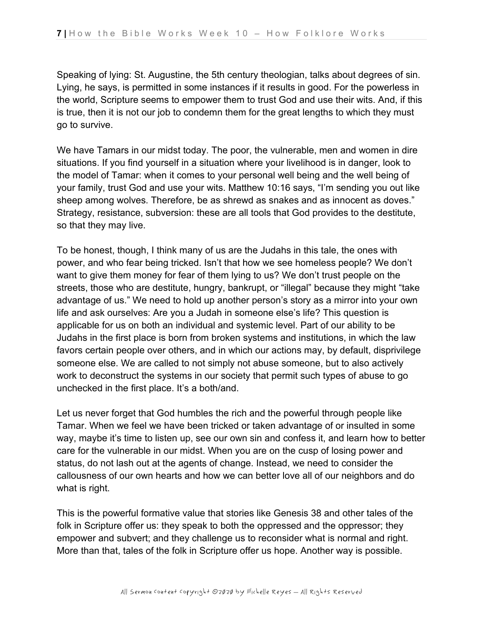Speaking of lying: St. Augustine, the 5th century theologian, talks about degrees of sin. Lying, he says, is permitted in some instances if it results in good. For the powerless in the world, Scripture seems to empower them to trust God and use their wits. And, if this is true, then it is not our job to condemn them for the great lengths to which they must go to survive.

We have Tamars in our midst today. The poor, the vulnerable, men and women in dire situations. If you find yourself in a situation where your livelihood is in danger, look to the model of Tamar: when it comes to your personal well being and the well being of your family, trust God and use your wits. Matthew 10:16 says, "I'm sending you out like sheep among wolves. Therefore, be as shrewd as snakes and as innocent as doves." Strategy, resistance, subversion: these are all tools that God provides to the destitute, so that they may live.

To be honest, though, I think many of us are the Judahs in this tale, the ones with power, and who fear being tricked. Isn't that how we see homeless people? We don't want to give them money for fear of them lying to us? We don't trust people on the streets, those who are destitute, hungry, bankrupt, or "illegal" because they might "take advantage of us." We need to hold up another person's story as a mirror into your own life and ask ourselves: Are you a Judah in someone else's life? This question is applicable for us on both an individual and systemic level. Part of our ability to be Judahs in the first place is born from broken systems and institutions, in which the law favors certain people over others, and in which our actions may, by default, disprivilege someone else. We are called to not simply not abuse someone, but to also actively work to deconstruct the systems in our society that permit such types of abuse to go unchecked in the first place. It's a both/and.

Let us never forget that God humbles the rich and the powerful through people like Tamar. When we feel we have been tricked or taken advantage of or insulted in some way, maybe it's time to listen up, see our own sin and confess it, and learn how to better care for the vulnerable in our midst. When you are on the cusp of losing power and status, do not lash out at the agents of change. Instead, we need to consider the callousness of our own hearts and how we can better love all of our neighbors and do what is right.

This is the powerful formative value that stories like Genesis 38 and other tales of the folk in Scripture offer us: they speak to both the oppressed and the oppressor; they empower and subvert; and they challenge us to reconsider what is normal and right. More than that, tales of the folk in Scripture offer us hope. Another way is possible.